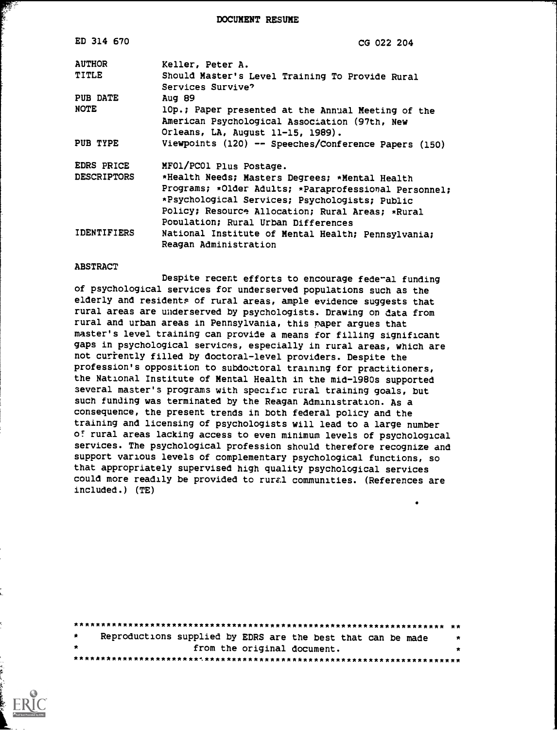DOCUMENT RESUME

| ED 314 670                       | CG 022 204                                                                                                                                                                                                                                           |
|----------------------------------|------------------------------------------------------------------------------------------------------------------------------------------------------------------------------------------------------------------------------------------------------|
| <b>AUTHOR</b>                    | Keller, Peter A.                                                                                                                                                                                                                                     |
| TITLE                            | Should Master's Level Training To Provide Rural<br>Services Survive?                                                                                                                                                                                 |
| PUB DATE                         | Aug 89                                                                                                                                                                                                                                               |
| <b>NOTE</b>                      | 10p.; Paper presented at the Annual Meeting of the<br>American Psychological Association (97th, New<br>Orleans, LA, August 11-15, 1989).                                                                                                             |
| PUB TYPE                         | Viewpoints (120) -- Speeches/Conference Papers (150)                                                                                                                                                                                                 |
| EDRS PRICE<br><b>DESCRIPTORS</b> | MF01/PC01 Plus Postage.                                                                                                                                                                                                                              |
|                                  | *Health Needs; Masters Degrees; *Mental Health<br>Programs; *Older Adults; *Paraprofessional Personnel;<br>*Psychological Services; Psychologists; Public<br>Policy; Resource Allocation; Rural Areas; *Rural<br>Population; Rural Urban Differences |
| <b>IDENTIFIERS</b>               | National Institute of Mental Health; Pennsylvania;<br>Reagan Administration                                                                                                                                                                          |

#### **ABSTRACT**

E.

Despite recent efforts to encourage federal funding of psychological services for underserved populations such as the elderly and residents of rural areas, ample evidence suggests that rural areas are underserved by psychologists. Drawing on data from rural and urban areas in Pennsylvania, this paper argues that master's level training can provide a means for filling significant gaps in psychological services, especially in rural areas, which are not currently filled by doctoral-level providers. Despite the profession's opposition to subdoctoral training for practitioners, the National Institute of Mental Health in the mid-1980s supported several master's programs with specific rural training goals, but such funding was terminated by the Reagan Administration. As a consequence, the present trends in both federal policy and the training and licensing of psychologists will lead to a large number of rural areas lacking access to even minimum levels of psychological services. The psychological profession should therefore recognize and support various levels of complementary psychological functions, so that appropriately supervised high quality psychological services could more readily be provided to rural communities. (References are included.) (TE)

| $\star$ | Reproductions supplied by EDRS are the best that can be made | $\star$ |
|---------|--------------------------------------------------------------|---------|
| $\star$ | from the original document.                                  | $\star$ |
|         |                                                              |         |

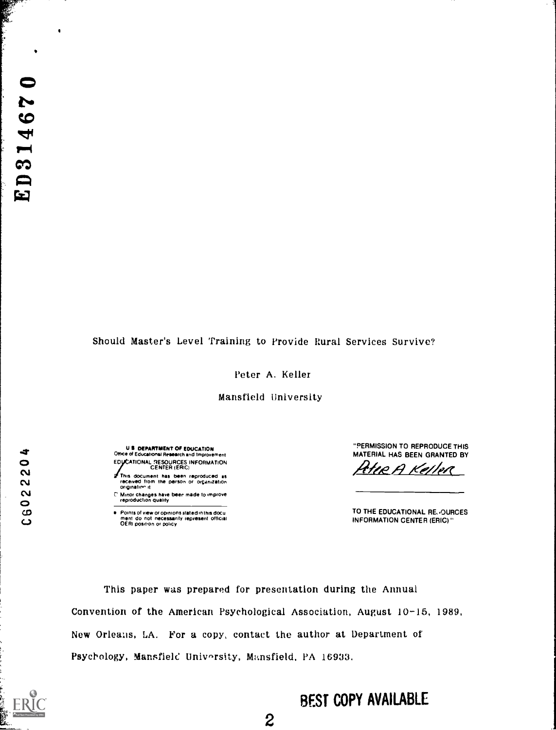$\blacksquare$ 

# Should Master's Level Training to Provide Rural Services Survive?

Peter A. Keller

Mansfield University

**U S DEPARTMENT OF EDUCATION** Office of Educational Research and Improvement<br>EDUCATIONAL RESOURCES INFORMATION<br>CENTER (ERIC) This document has been reproduced as<br>received from the person or organization<br>origination it

E' Minor changes have been made to improve<br>reproduction quality

e: Points of view or opinions stated in this docu<br>- ment: do: not: necessarity represent: official<br>- OERI position or policy

"PERMISSION TO REPRODUCE THIS MATERIAL HAS BEEN GRANTED BY

KHEA Keller

TO THE EDUCATIONAL REJOURCES **INFORMATION CENTER (ERIC)** "

This paper was prepared for presentation during the Annual Convention of the American Psychological Association, August 10-15, 1989, New Orleans, LA. For a copy, contact the author at Department of Psychology, Mansfield University, Mansfield, PA 16933.

s

C602220

# **BEST COPY AVAILABLE**

 $\overline{2}$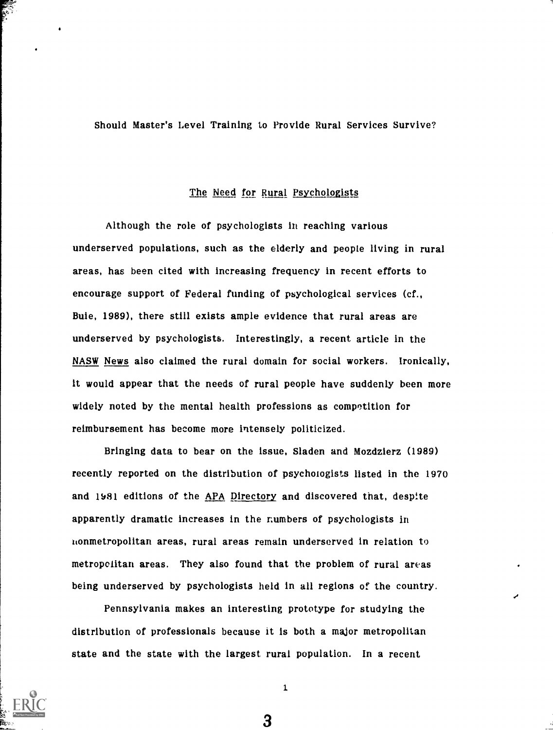Should Master's Level Training to Provide Rural Services Survive?

## The Need for Rural Psychologists

Although the role of psychologists in reaching various underserved populations, such as the elderly and people living in rural areas, has been cited with increasing frequency in recent efforts to encourage support of Federal funding of psychological services (cf., Buie, 1989), there still exists ample evidence that rural areas are underserved by psychologists. Interestingly, a recent article in the NASW News also claimed the rural domain for social workers. Ironically, it would appear that the needs of rural people have suddenly been more widely noted by the mental health professions as competition for reimbursement has become more intensely politicized.

Bringing data to bear on the issue, Sladen and Mozdzierz (1989) recently reported on the distribution of psychologists listed in the 1970 and 1531 editions of the APA Directory and discovered that, despite apparently dramatic increases in the numbers of psychologists in nonmetropolitan areas, rural areas remain underserved in relation to metropolitan areas. They also found that the problem of rural areas being underserved by psychologists held in all regions of the country.

Pennsylvania makes an interesting prototype for studying the distribution of professionals because it is both a major metropolitan state and the state with the largest rural population. In a recent



1.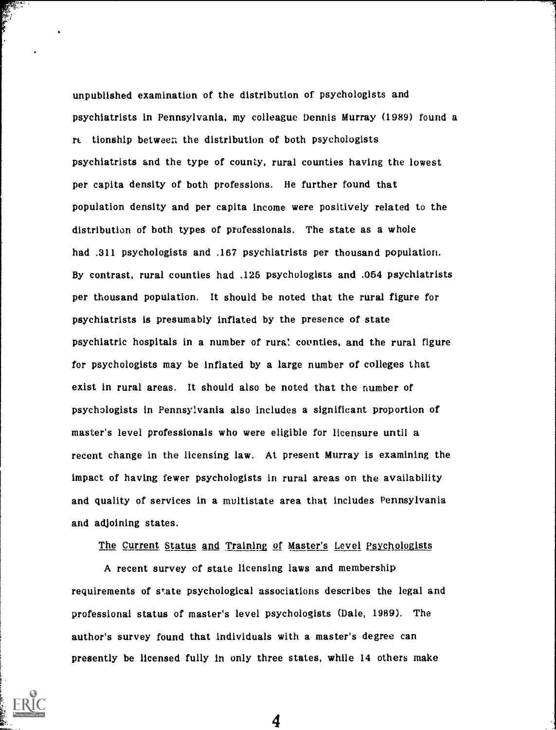unpublished examination of the distribution of psychologists and psychiatrists in Pennsylvania, my colleague Dennis Murray (1989) found a rt. tionship between the distribution of both psychologists psychiatrists and the type of county, rural counties having the lowest per capita density of both professions. He further found that population density and per capita income were positively related to the distribution of both types of professionals. The state as a whole had .311 psychologists and .167 psychiatrists per thousand population. By contrast, rural counties had .125 psychologists and .054 psychiatrists per thousand population. It should be noted that the rural figure for psychiatrists is presumably inflated by the presence of state psychiatric hospitals in a number of rural counties, and the rural figure for psychologists may be inflated by a large number of colleges that exist in rural areas. It should also be noted that the number of psychologists in Pennsylvania also includes a significant proportion of master's level professionals who were eligible for licensure until a recent change in the licensing law. At present Murray is examining the impact of having fewer psychologists in rural areas on the availability and quality of services in a multistate area that includes Pennsylvania and adjoining states.

The Current Status and Training of Master's Level Psychologists

A recent survey of state licensing laws and membership requirements of state psychological associations describes the legal and professional status of master's level psychologists (Dale, 1989). The author's survey found that individuals with a master's degree can presently be licensed fully in only three states, while 14 others make

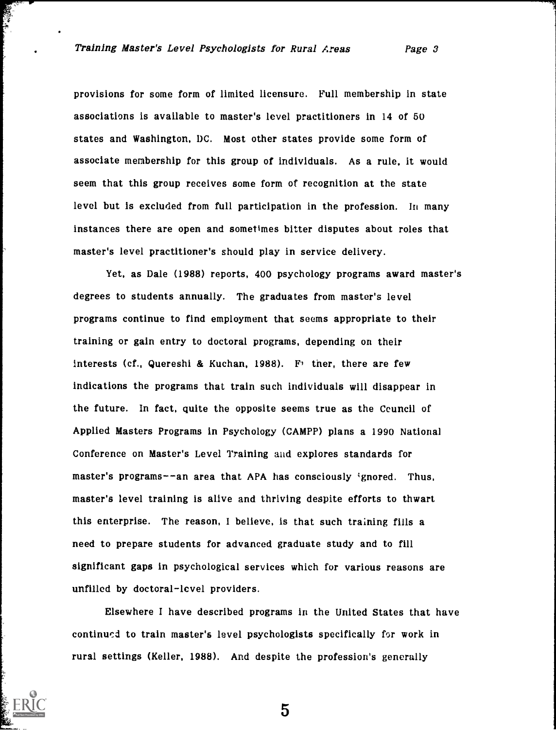医生理

provisions for some form of limited licensure. Full membership in state associations is available to master's level practitioners in 14 of 50 states and Washington, DC. Most other states provide some form of associate membership for this group of individuals. As a rule, it would seem that this group receives some form of recognition at the state level but is excluded from full participation in the profession. In many instances there are open and sometimes bitter disputes about roles that master's level practitioner's should play in service delivery.

Yet, as Dale (1988) reports, 400 psychology programs award master's degrees to students annually. The graduates from master's level programs continue to find employment that seems appropriate to their training or gain entry to doctoral programs, depending on their interests (cf., Quereshi & Kuchan, 1988). For there, there are few indications the programs that train such individuals will disappear in the future. In fact, quite the opposite seems true as the Ccuncil of Applied Masters Programs in Psychology (CAMPP) plans a 1990 National Conference on Master's Level Training and explores standards for master's programs--an area that APA has consciously ignored. Thus, master's level training is alive and thriving despite efforts to thwart this enterprise. The reason, I believe, is that such training fills a need to prepare students for advanced graduate study and to fill significant gaps in psychological services which for various reasons are unfilled by doctoral-level providers.

Elsewhere I have described programs in the United States that have continued to train master's level psychologists specifically for work in rural settings (Keller, 1988). And despite the profession's generally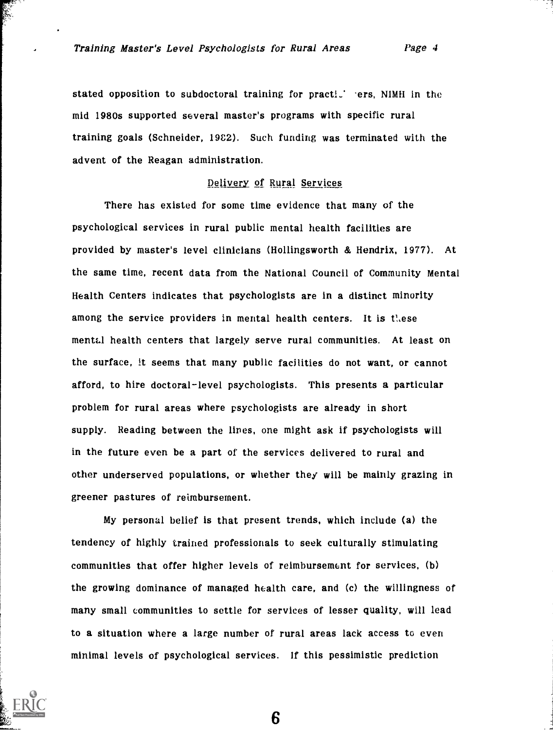stated opposition to subdoctoral training for practi. ers, NIMH in the mid 1980s supported several master's programs with specific rural training goals (Schneider, 1982). Such funding was terminated with the advent of the Reagan administration.

### Delivery of Rural Services

There has existed for some time evidence that many of the psychological services in rural public mental health facilities are provided by master's level clinicians (Hollingsworth & Hendrix, 1977). At the same time, recent data from the National Council of Community Mental Health Centers indicates that psychologists are in a distinct minority among the service providers in mental health centers. It is these mental health centers that largely serve rural communities. At least on the surface, it seems that many public facilities do not want, or cannot afford, to hire doctoral-level psychologists. This presents a particular problem for rural areas where psychologists are already in short supply. Reading between the lines, one might ask if psychologists will in the future even be a part of the services delivered to rural and other underserved populations, or whether they will be mainly grazing in greener pastures of reimbursement.

My personal belief is that present trends, which include (a) the tendency of highly trained professionals to seek culturally stimulating communities that offer higher levels of reimbursement for services, (b) the growing dominance of managed health care, and (c) the willingness of many small communities to settle for services of lesser quality, will lead to a situation where a large number of rural areas lack access to even minimal levels of psychological services. If this pessimistic prediction

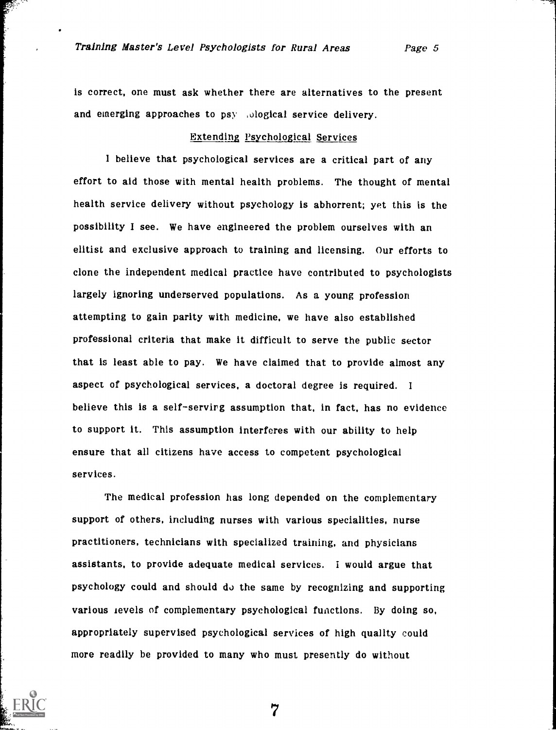is correct, one must ask whether there are alternatives to the present and emerging approaches to psy ,ological service delivery.

# Extending Psychological Services

I believe that psychological services are a critical part of any effort to aid those with mental health problems. The thought of mental health service delivery without psychology is abhorrent; yet this is the possibility I see. We have engineered the problem ourselves with an elitist and exclusive approach to training and licensing. Our efforts to clone the independent medical practice have contributed to psychologists largely ignoring underserved populations. As a young profession attempting to gain parity with medicine, we have also established professional criteria that make it difficult to serve the public sector that is least able to pay. We have claimed that to provide almost any aspect of psychological services, a doctoral degree is required. <sup>I</sup> believe this is a self-serving assumption that, in fact, has no evidence to support it. This assumption interferes with our ability to help ensure that all citizens have access to competent psychological services.

The medical profession has long depended on the complementary support of others, including nurses with various specialities, nurse practitioners, technicians with specialized training, and physicians assistants, to provide adequate medical services. I would argue that psychology could and should do the same by recognizing and supporting various levels of complementary psychological functions. By doing so, appropriately supervised psychological services of high quality could more readily be provided to many who must presently do without

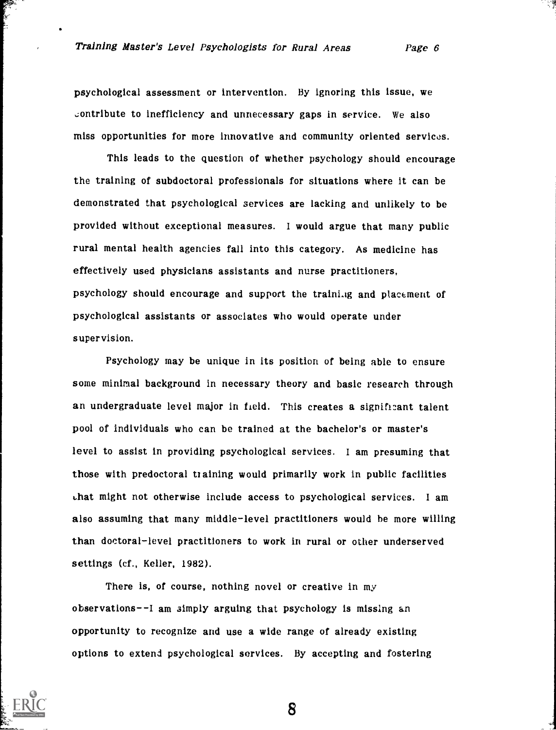psychological assessment or intervention. By ignoring this issue, we contribute to inefficiency and unnecessary gaps in service. We also miss opportunities for more innovative and community oriented services.

This leads to the question of whether psychology should encourage the training of subdoctoral professionals for situations where it can be demonstrated that psychological services are lacking and unlikely to be provided without exceptional measures. I would argue that many public rural mental health agencies fall into this category. As medicine has effectively used physicians assistants and nurse practitioners, psychology should encourage and support the training and placement of psychological assistants or associates who would operate under supervision.

Psychology may be unique in its position of being able to ensure some minimal background in necessary theory and basic research through an undergraduate level major in field. This creates a significant talent pool of individuals who can be trained at the bachelor's or master's level to assist in providing psychological services. I am presuming that those with predoctoral training would primarily work in public facilities Lhat might not otherwise include access to psychological services. I am also assuming that many middle-level practitioners would he more willing than doctoral-level practitioners to work in rural or other underserved settings (cf., Keller, 1982).

There is, of course, nothing novel or creative in my observations--I am simply arguing that psychology is missing an opportunity to recognize and use a wide range of already existing options to extend psychological services. By accepting and fostering

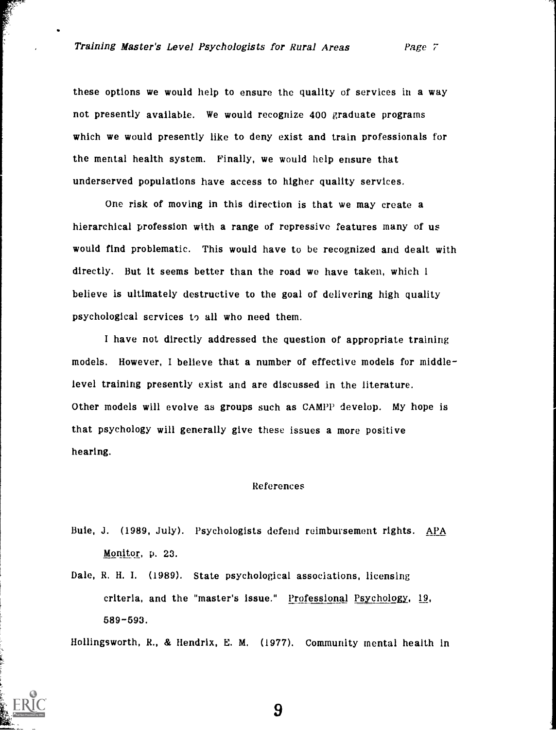these options we would help to ensure the quality of services in a way not presently available. We would recognize 400 graduate programs which we would presently like to deny exist and train professionals for the mental health system. Finally, we would help ensure that underserved populations have access to higher quality services.

One risk of moving in this direction is that we may create a hierarchical profession with a range of repressive features many of us would find problematic. This would have to be recognized and dealt with directly. But it seems better than the road we have taken, which 1 believe is ultimately destructive to the goal of delivering high quality psychological services to all who need them.

I have not directly addressed the question of appropriate training models. However, I believe that a number of effective models for middlelevel training presently exist and are discussed in the literature. Other models will evolve as groups such as CAMPP develop. My hope is that psychology will generally give these issues a more positive hearing.

#### References

- Buie, J. (1989, July). Psychologists defend reimbursement rights. APA Monitor, p. 23.
- Dale, R. H. I. (1989). State psychological associations, licensing criteria, and the "master's issue." Professional Psychology, 19, 589-593.

Hollingsworth, R., & Hendrix, E. M. (1977). Community mental health In